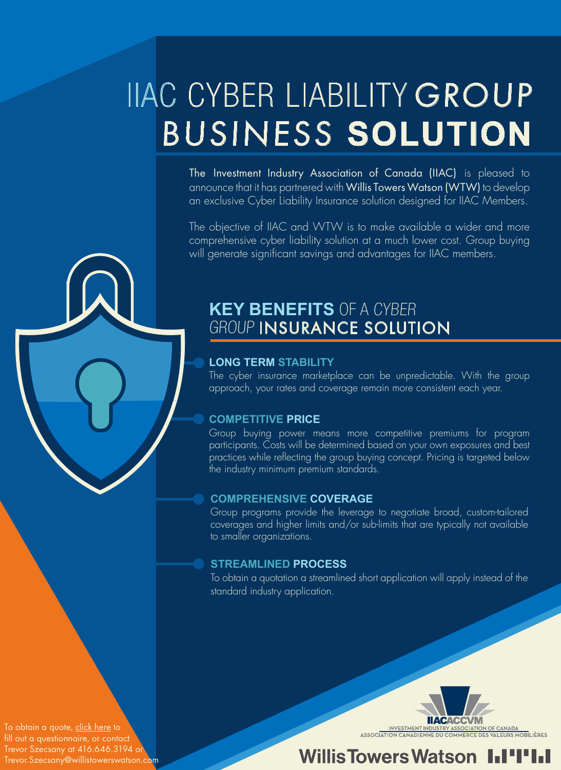# IIAC CYBER LIABILITY GROUP BUSINESS **SOLUTION**

The Investment Industry Association of Canada (IIAC) is pleased to announce that it has partnered with Willis Towers Watson (WTW) to develop an exclusive Cyber Liability Insurance solution designed for IIAC Members.

The objective of IIAC and WTW is to make available a wider and more comprehensive cyber liability solution at a much lower cost. Group buying will generate significant savings and advantages for IIAC members.

# **KEY BENEFITS** OF A CYBER GROUP INSURANCE SOLUTION

#### **LONG TERM STABILITY**

The cyber insurance marketplace can be unpredictable. With the group approach, your rates and coverage remain more consistent each year.

#### **COMPETITIVE PRICE**

Group buying power means more competitive premiums for program participants. Costs will be determined based on your own exposures and best practices while reflecting the group buying concept. Pricing is targeted below the industry minimum premium standards.

#### **COMPREHENSIVE COVERAGE**

Group programs provide the leverage to negotiate broad, custom-tailored coverages and higher limits and/or sub-limits that are typically not available to smaller organizations.

#### **STREAMLINED PROCESS**

To obtain a quotation a streamlined short [application](http://iiac.ca/wp-content/uploads/IIAC-Cyber-Questionnaire.pdf) will apply instead of the standard industry application.

To obtain a quote, [click here](http://iiac.ca/wp-content/uploads/IIAC-Cyber-Questionnaire.pdf) to fill out a questionnaire, or contact Trevor Szecsany at 416.646.3194 or Trevor.Szecsany@willistowerswatson.com INVESTMENT INDI OF CANADA URS MOBILIÈRES

# **Willis Towers Watson**